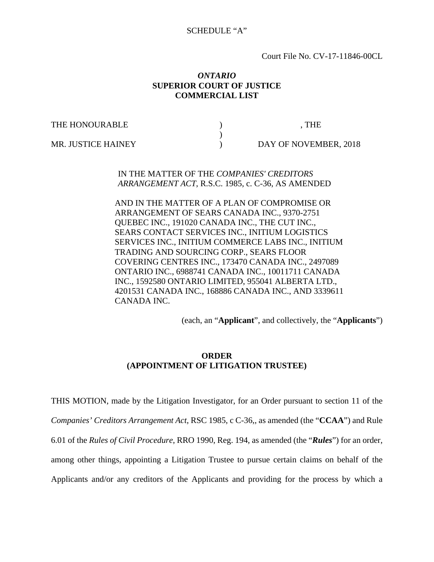#### SCHEDULE "A"

Court File No. CV-17-11846-00CL

#### *ONTARIO*  **SUPERIOR COURT OF JUSTICE COMMERCIAL LIST**

THE HONOURABLE  $\qquad \qquad$  , the

 $)$ 

MR. JUSTICE HAINEY (and the state of the DAY OF NOVEMBER, 2018)

IN THE MATTER OF THE *COMPANIES' CREDITORS ARRANGEMENT ACT*, R.S.C. 1985, c. C-36, AS AMENDED

AND IN THE MATTER OF A PLAN OF COMPROMISE OR ARRANGEMENT OF SEARS CANADA INC., 9370-2751 QUEBEC INC., 191020 CANADA INC., THE CUT INC., SEARS CONTACT SERVICES INC., INITIUM LOGISTICS SERVICES INC., INITIUM COMMERCE LABS INC., INITIUM TRADING AND SOURCING CORP., SEARS FLOOR COVERING CENTRES INC., 173470 CANADA INC., 2497089 ONTARIO INC., 6988741 CANADA INC., 10011711 CANADA INC., 1592580 ONTARIO LIMITED, 955041 ALBERTA LTD., 4201531 CANADA INC., 168886 CANADA INC., AND 3339611 CANADA INC.

(each, an "**Applicant**", and collectively, the "**Applicants**")

### **ORDER (APPOINTMENT OF LITIGATION TRUSTEE)**

THIS MOTION, made by the Litigation Investigator, for an Order pursuant to section 11 of the *Companies' Creditors Arrangement Act*, RSC 1985, c C-36,, as amended (the "**CCAA**") and Rule 6.01 of the *Rules of Civil Procedure*, RRO 1990, Reg. 194, as amended (the "*Rules*") for an order, among other things, appointing a Litigation Trustee to pursue certain claims on behalf of the Applicants and/or any creditors of the Applicants and providing for the process by which a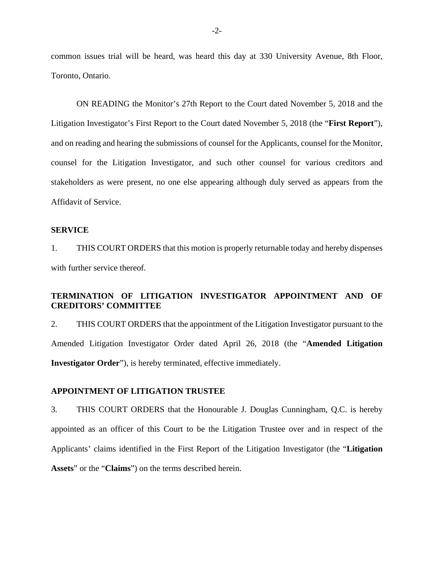common issues trial will be heard, was heard this day at 330 University Avenue, 8th Floor, Toronto, Ontario.

ON READING the Monitor's 27th Report to the Court dated November 5, 2018 and the Litigation Investigator's First Report to the Court dated November 5, 2018 (the "**First Report**"), and on reading and hearing the submissions of counsel for the Applicants, counsel for the Monitor, counsel for the Litigation Investigator, and such other counsel for various creditors and stakeholders as were present, no one else appearing although duly served as appears from the Affidavit of Service.

#### **SERVICE**

1. THIS COURT ORDERS that this motion is properly returnable today and hereby dispenses with further service thereof.

## **TERMINATION OF LITIGATION INVESTIGATOR APPOINTMENT AND OF CREDITORS' COMMITTEE**

2. THIS COURT ORDERS that the appointment of the Litigation Investigator pursuant to the Amended Litigation Investigator Order dated April 26, 2018 (the "**Amended Litigation Investigator Order**"), is hereby terminated, effective immediately.

#### **APPOINTMENT OF LITIGATION TRUSTEE**

3. THIS COURT ORDERS that the Honourable J. Douglas Cunningham, Q.C. is hereby appointed as an officer of this Court to be the Litigation Trustee over and in respect of the Applicants' claims identified in the First Report of the Litigation Investigator (the "**Litigation Assets**" or the "**Claims**") on the terms described herein.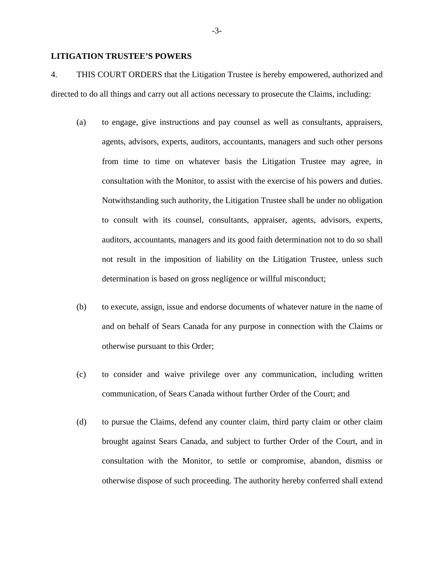### **LITIGATION TRUSTEE'S POWERS**

4. THIS COURT ORDERS that the Litigation Trustee is hereby empowered, authorized and directed to do all things and carry out all actions necessary to prosecute the Claims, including:

- (a) to engage, give instructions and pay counsel as well as consultants, appraisers, agents, advisors, experts, auditors, accountants, managers and such other persons from time to time on whatever basis the Litigation Trustee may agree, in consultation with the Monitor, to assist with the exercise of his powers and duties. Notwithstanding such authority, the Litigation Trustee shall be under no obligation to consult with its counsel, consultants, appraiser, agents, advisors, experts, auditors, accountants, managers and its good faith determination not to do so shall not result in the imposition of liability on the Litigation Trustee, unless such determination is based on gross negligence or willful misconduct;
- (b) to execute, assign, issue and endorse documents of whatever nature in the name of and on behalf of Sears Canada for any purpose in connection with the Claims or otherwise pursuant to this Order;
- (c) to consider and waive privilege over any communication, including written communication, of Sears Canada without further Order of the Court; and
- (d) to pursue the Claims, defend any counter claim, third party claim or other claim brought against Sears Canada, and subject to further Order of the Court, and in consultation with the Monitor, to settle or compromise, abandon, dismiss or otherwise dispose of such proceeding. The authority hereby conferred shall extend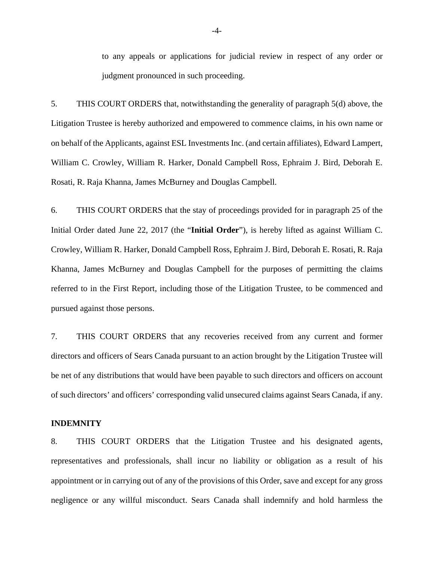to any appeals or applications for judicial review in respect of any order or judgment pronounced in such proceeding.

5. THIS COURT ORDERS that, notwithstanding the generality of paragraph 5(d) above, the Litigation Trustee is hereby authorized and empowered to commence claims, in his own name or on behalf of the Applicants, against ESL Investments Inc. (and certain affiliates), Edward Lampert, William C. Crowley, William R. Harker, Donald Campbell Ross, Ephraim J. Bird, Deborah E. Rosati, R. Raja Khanna, James McBurney and Douglas Campbell.

6. THIS COURT ORDERS that the stay of proceedings provided for in paragraph 25 of the Initial Order dated June 22, 2017 (the "**Initial Order**"), is hereby lifted as against William C. Crowley, William R. Harker, Donald Campbell Ross, Ephraim J. Bird, Deborah E. Rosati, R. Raja Khanna, James McBurney and Douglas Campbell for the purposes of permitting the claims referred to in the First Report, including those of the Litigation Trustee, to be commenced and pursued against those persons.

7. THIS COURT ORDERS that any recoveries received from any current and former directors and officers of Sears Canada pursuant to an action brought by the Litigation Trustee will be net of any distributions that would have been payable to such directors and officers on account of such directors' and officers' corresponding valid unsecured claims against Sears Canada, if any.

### **INDEMNITY**

8. THIS COURT ORDERS that the Litigation Trustee and his designated agents, representatives and professionals, shall incur no liability or obligation as a result of his appointment or in carrying out of any of the provisions of this Order, save and except for any gross negligence or any willful misconduct. Sears Canada shall indemnify and hold harmless the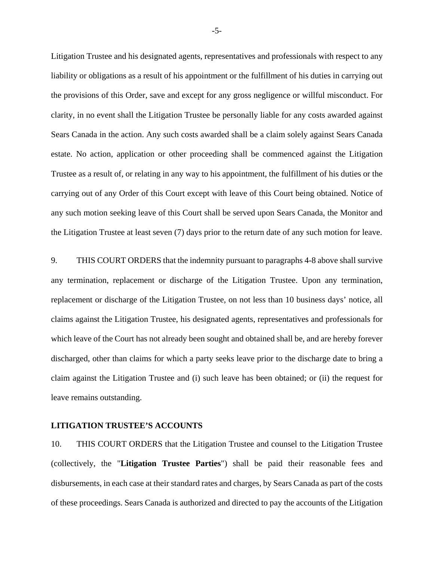Litigation Trustee and his designated agents, representatives and professionals with respect to any liability or obligations as a result of his appointment or the fulfillment of his duties in carrying out the provisions of this Order, save and except for any gross negligence or willful misconduct. For clarity, in no event shall the Litigation Trustee be personally liable for any costs awarded against Sears Canada in the action. Any such costs awarded shall be a claim solely against Sears Canada estate. No action, application or other proceeding shall be commenced against the Litigation Trustee as a result of, or relating in any way to his appointment, the fulfillment of his duties or the carrying out of any Order of this Court except with leave of this Court being obtained. Notice of any such motion seeking leave of this Court shall be served upon Sears Canada, the Monitor and the Litigation Trustee at least seven (7) days prior to the return date of any such motion for leave.

9. THIS COURT ORDERS that the indemnity pursuant to paragraphs 4-8 above shall survive any termination, replacement or discharge of the Litigation Trustee. Upon any termination, replacement or discharge of the Litigation Trustee, on not less than 10 business days' notice, all claims against the Litigation Trustee, his designated agents, representatives and professionals for which leave of the Court has not already been sought and obtained shall be, and are hereby forever discharged, other than claims for which a party seeks leave prior to the discharge date to bring a claim against the Litigation Trustee and (i) such leave has been obtained; or (ii) the request for leave remains outstanding.

### **LITIGATION TRUSTEE'S ACCOUNTS**

10. THIS COURT ORDERS that the Litigation Trustee and counsel to the Litigation Trustee (collectively, the "**Litigation Trustee Parties**") shall be paid their reasonable fees and disbursements, in each case at their standard rates and charges, by Sears Canada as part of the costs of these proceedings. Sears Canada is authorized and directed to pay the accounts of the Litigation

-5-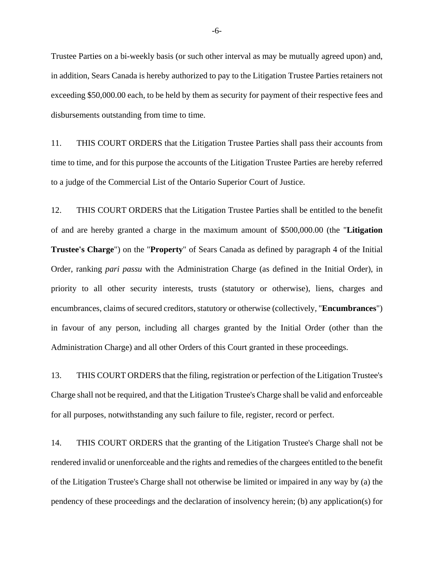Trustee Parties on a bi-weekly basis (or such other interval as may be mutually agreed upon) and, in addition, Sears Canada is hereby authorized to pay to the Litigation Trustee Parties retainers not exceeding \$50,000.00 each, to be held by them as security for payment of their respective fees and disbursements outstanding from time to time.

11. THIS COURT ORDERS that the Litigation Trustee Parties shall pass their accounts from time to time, and for this purpose the accounts of the Litigation Trustee Parties are hereby referred to a judge of the Commercial List of the Ontario Superior Court of Justice.

12. THIS COURT ORDERS that the Litigation Trustee Parties shall be entitled to the benefit of and are hereby granted a charge in the maximum amount of \$500,000.00 (the "**Litigation Trustee's Charge**") on the "**Property**" of Sears Canada as defined by paragraph 4 of the Initial Order, ranking *pari passu* with the Administration Charge (as defined in the Initial Order), in priority to all other security interests, trusts (statutory or otherwise), liens, charges and encumbrances, claims of secured creditors, statutory or otherwise (collectively, "**Encumbrances**") in favour of any person, including all charges granted by the Initial Order (other than the Administration Charge) and all other Orders of this Court granted in these proceedings.

13. THIS COURT ORDERS that the filing, registration or perfection of the Litigation Trustee's Charge shall not be required, and that the Litigation Trustee's Charge shall be valid and enforceable for all purposes, notwithstanding any such failure to file, register, record or perfect.

14. THIS COURT ORDERS that the granting of the Litigation Trustee's Charge shall not be rendered invalid or unenforceable and the rights and remedies of the chargees entitled to the benefit of the Litigation Trustee's Charge shall not otherwise be limited or impaired in any way by (a) the pendency of these proceedings and the declaration of insolvency herein; (b) any application(s) for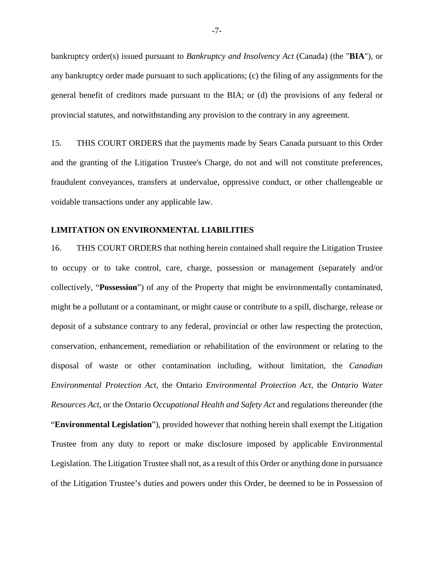bankruptcy order(s) issued pursuant to *Bankruptcy and Insolvency Act* (Canada) (the "**BIA**"), or any bankruptcy order made pursuant to such applications; (c) the filing of any assignments for the general benefit of creditors made pursuant to the BIA; or (d) the provisions of any federal or provincial statutes, and notwithstanding any provision to the contrary in any agreement.

15. THIS COURT ORDERS that the payments made by Sears Canada pursuant to this Order and the granting of the Litigation Trustee's Charge, do not and will not constitute preferences, fraudulent conveyances, transfers at undervalue, oppressive conduct, or other challengeable or voidable transactions under any applicable law.

#### **LIMITATION ON ENVIRONMENTAL LIABILITIES**

16. THIS COURT ORDERS that nothing herein contained shall require the Litigation Trustee to occupy or to take control, care, charge, possession or management (separately and/or collectively, "**Possession**") of any of the Property that might be environmentally contaminated, might be a pollutant or a contaminant, or might cause or contribute to a spill, discharge, release or deposit of a substance contrary to any federal, provincial or other law respecting the protection, conservation, enhancement, remediation or rehabilitation of the environment or relating to the disposal of waste or other contamination including, without limitation, the *Canadian Environmental Protection Act*, the Ontario *Environmental Protection Act*, the *Ontario Water Resources Act*, or the Ontario *Occupational Health and Safety Act* and regulations thereunder (the "**Environmental Legislation**"), provided however that nothing herein shall exempt the Litigation Trustee from any duty to report or make disclosure imposed by applicable Environmental Legislation. The Litigation Trustee shall not, as a result of this Order or anything done in pursuance of the Litigation Trustee's duties and powers under this Order, be deemed to be in Possession of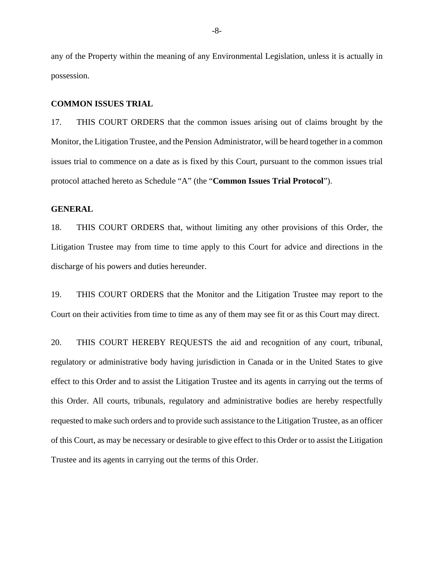any of the Property within the meaning of any Environmental Legislation, unless it is actually in possession.

#### **COMMON ISSUES TRIAL**

17. THIS COURT ORDERS that the common issues arising out of claims brought by the Monitor, the Litigation Trustee, and the Pension Administrator, will be heard together in a common issues trial to commence on a date as is fixed by this Court, pursuant to the common issues trial protocol attached hereto as Schedule "A" (the "**Common Issues Trial Protocol**").

#### **GENERAL**

18. THIS COURT ORDERS that, without limiting any other provisions of this Order, the Litigation Trustee may from time to time apply to this Court for advice and directions in the discharge of his powers and duties hereunder.

19. THIS COURT ORDERS that the Monitor and the Litigation Trustee may report to the Court on their activities from time to time as any of them may see fit or as this Court may direct.

20. THIS COURT HEREBY REQUESTS the aid and recognition of any court, tribunal, regulatory or administrative body having jurisdiction in Canada or in the United States to give effect to this Order and to assist the Litigation Trustee and its agents in carrying out the terms of this Order. All courts, tribunals, regulatory and administrative bodies are hereby respectfully requested to make such orders and to provide such assistance to the Litigation Trustee, as an officer of this Court, as may be necessary or desirable to give effect to this Order or to assist the Litigation Trustee and its agents in carrying out the terms of this Order.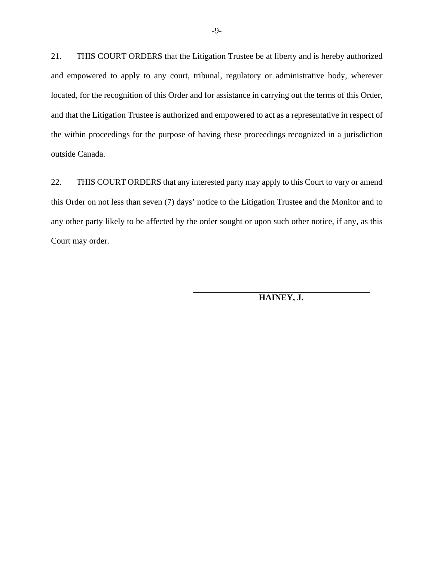21. THIS COURT ORDERS that the Litigation Trustee be at liberty and is hereby authorized and empowered to apply to any court, tribunal, regulatory or administrative body, wherever located, for the recognition of this Order and for assistance in carrying out the terms of this Order, and that the Litigation Trustee is authorized and empowered to act as a representative in respect of the within proceedings for the purpose of having these proceedings recognized in a jurisdiction outside Canada.

22. THIS COURT ORDERS that any interested party may apply to this Court to vary or amend this Order on not less than seven (7) days' notice to the Litigation Trustee and the Monitor and to any other party likely to be affected by the order sought or upon such other notice, if any, as this Court may order.

**HAINEY, J.**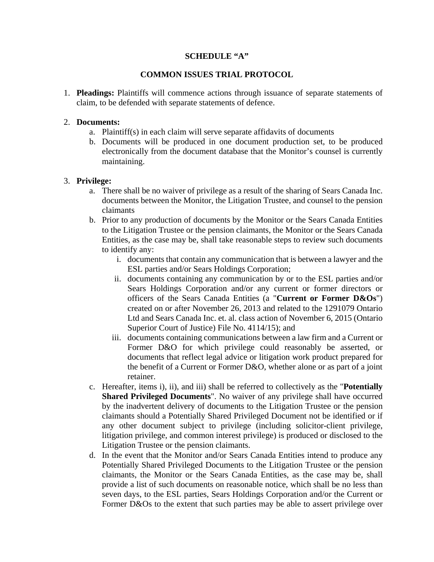### **SCHEDULE "A"**

### **COMMON ISSUES TRIAL PROTOCOL**

1. **Pleadings:** Plaintiffs will commence actions through issuance of separate statements of claim, to be defended with separate statements of defence.

#### 2. **Documents:**

- a. Plaintiff(s) in each claim will serve separate affidavits of documents
- b. Documents will be produced in one document production set, to be produced electronically from the document database that the Monitor's counsel is currently maintaining.

#### 3. **Privilege:**

- a. There shall be no waiver of privilege as a result of the sharing of Sears Canada Inc. documents between the Monitor, the Litigation Trustee, and counsel to the pension claimants
- b. Prior to any production of documents by the Monitor or the Sears Canada Entities to the Litigation Trustee or the pension claimants, the Monitor or the Sears Canada Entities, as the case may be, shall take reasonable steps to review such documents to identify any:
	- i. documents that contain any communication that is between a lawyer and the ESL parties and/or Sears Holdings Corporation;
	- ii. documents containing any communication by or to the ESL parties and/or Sears Holdings Corporation and/or any current or former directors or officers of the Sears Canada Entities (a "**Current or Former D&Os**") created on or after November 26, 2013 and related to the 1291079 Ontario Ltd and Sears Canada Inc. et. al. class action of November 6, 2015 (Ontario Superior Court of Justice) File No. 4114/15); and
	- iii. documents containing communications between a law firm and a Current or Former D&O for which privilege could reasonably be asserted, or documents that reflect legal advice or litigation work product prepared for the benefit of a Current or Former D&O, whether alone or as part of a joint retainer.
- c. Hereafter, items i), ii), and iii) shall be referred to collectively as the "**Potentially Shared Privileged Documents**". No waiver of any privilege shall have occurred by the inadvertent delivery of documents to the Litigation Trustee or the pension claimants should a Potentially Shared Privileged Document not be identified or if any other document subject to privilege (including solicitor-client privilege, litigation privilege, and common interest privilege) is produced or disclosed to the Litigation Trustee or the pension claimants.
- d. In the event that the Monitor and/or Sears Canada Entities intend to produce any Potentially Shared Privileged Documents to the Litigation Trustee or the pension claimants, the Monitor or the Sears Canada Entities, as the case may be, shall provide a list of such documents on reasonable notice, which shall be no less than seven days, to the ESL parties, Sears Holdings Corporation and/or the Current or Former D&Os to the extent that such parties may be able to assert privilege over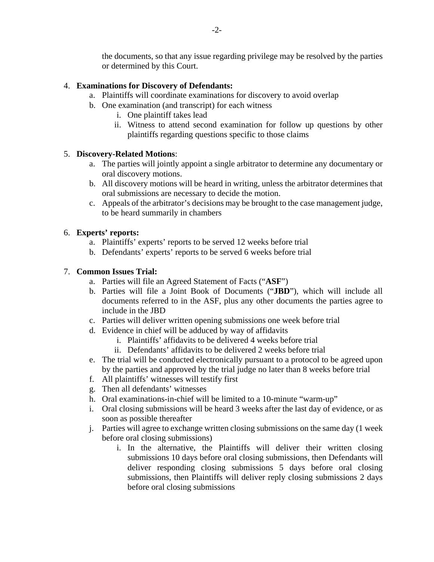the documents, so that any issue regarding privilege may be resolved by the parties or determined by this Court.

## 4. **Examinations for Discovery of Defendants:**

- a. Plaintiffs will coordinate examinations for discovery to avoid overlap
- b. One examination (and transcript) for each witness
	- i. One plaintiff takes lead
	- ii. Witness to attend second examination for follow up questions by other plaintiffs regarding questions specific to those claims

## 5. **Discovery-Related Motions**:

- a. The parties will jointly appoint a single arbitrator to determine any documentary or oral discovery motions.
- b. All discovery motions will be heard in writing, unless the arbitrator determines that oral submissions are necessary to decide the motion.
- c. Appeals of the arbitrator's decisions may be brought to the case management judge, to be heard summarily in chambers

## 6. **Experts' reports:**

- a. Plaintiffs' experts' reports to be served 12 weeks before trial
- b. Defendants' experts' reports to be served 6 weeks before trial

## 7. **Common Issues Trial:**

- a. Parties will file an Agreed Statement of Facts ("**ASF**")
- b. Parties will file a Joint Book of Documents ("**JBD**"), which will include all documents referred to in the ASF, plus any other documents the parties agree to include in the JBD
- c. Parties will deliver written opening submissions one week before trial
- d. Evidence in chief will be adduced by way of affidavits
	- i. Plaintiffs' affidavits to be delivered 4 weeks before trial
	- ii. Defendants' affidavits to be delivered 2 weeks before trial
- e. The trial will be conducted electronically pursuant to a protocol to be agreed upon by the parties and approved by the trial judge no later than 8 weeks before trial
- f. All plaintiffs' witnesses will testify first
- g. Then all defendants' witnesses
- h. Oral examinations-in-chief will be limited to a 10-minute "warm-up"
- i. Oral closing submissions will be heard 3 weeks after the last day of evidence, or as soon as possible thereafter
- j. Parties will agree to exchange written closing submissions on the same day (1 week before oral closing submissions)
	- i. In the alternative, the Plaintiffs will deliver their written closing submissions 10 days before oral closing submissions, then Defendants will deliver responding closing submissions 5 days before oral closing submissions, then Plaintiffs will deliver reply closing submissions 2 days before oral closing submissions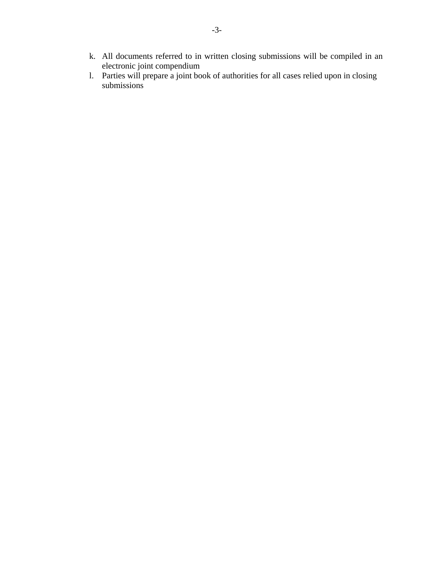- k. All documents referred to in written closing submissions will be compiled in an electronic joint compendium
- l. Parties will prepare a joint book of authorities for all cases relied upon in closing submissions